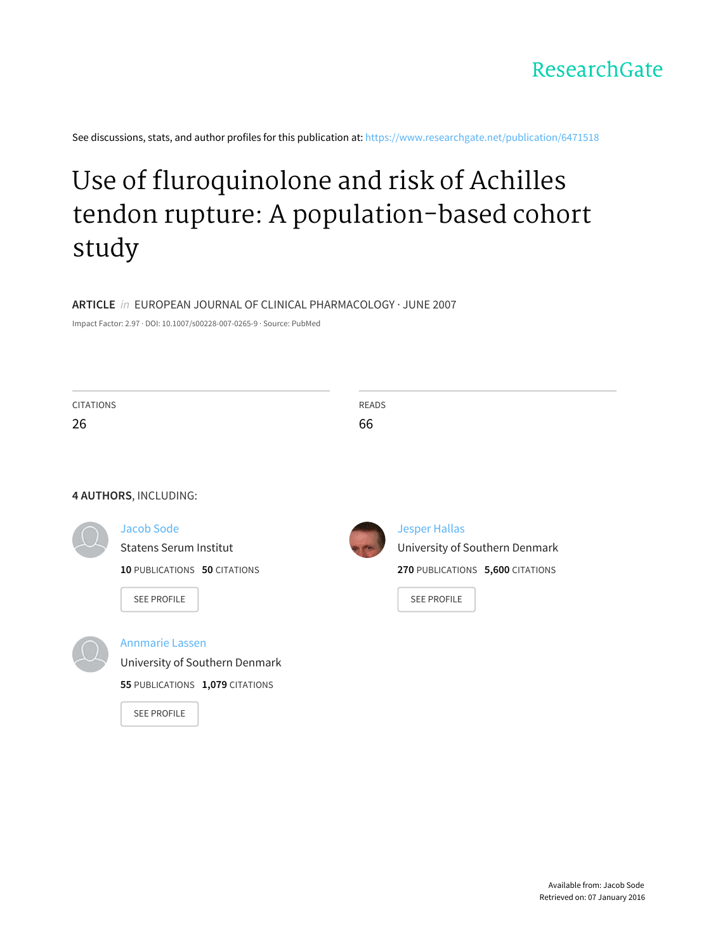

See discussions, stats, and author profiles for this publication at: [https://www.researchgate.net/publication/6471518](https://www.researchgate.net/publication/6471518_Use_of_fluroquinolone_and_risk_of_Achilles_tendon_rupture_A_population-based_cohort_study?enrichId=rgreq-2f8ca1f1-95ba-446c-a3b8-981f3ef1b1ac&enrichSource=Y292ZXJQYWdlOzY0NzE1MTg7QVM6MjA4NzI5MzQ2NzExNTUzQDE0MjY3NzYzNjI1NjY%3D&el=1_x_2)

# Use of fluroquinolone and risk of Achilles tendon rupture: A [population-based](https://www.researchgate.net/publication/6471518_Use_of_fluroquinolone_and_risk_of_Achilles_tendon_rupture_A_population-based_cohort_study?enrichId=rgreq-2f8ca1f1-95ba-446c-a3b8-981f3ef1b1ac&enrichSource=Y292ZXJQYWdlOzY0NzE1MTg7QVM6MjA4NzI5MzQ2NzExNTUzQDE0MjY3NzYzNjI1NjY%3D&el=1_x_3) cohort study

**ARTICLE** in EUROPEAN JOURNAL OF CLINICAL PHARMACOLOGY · JUNE 2007

Impact Factor: 2.97 · DOI: 10.1007/s00228-007-0265-9 · Source: PubMed

| <b>CITATIONS</b> |                                     | <b>READS</b> |                                  |
|------------------|-------------------------------------|--------------|----------------------------------|
| 26               |                                     | 66           |                                  |
|                  |                                     |              |                                  |
|                  |                                     |              |                                  |
|                  | 4 AUTHORS, INCLUDING:               |              |                                  |
|                  | Jacob Sode                          |              | <b>Jesper Hallas</b>             |
|                  | <b>Statens Serum Institut</b>       |              | University of Southern Denmark   |
|                  | <b>10 PUBLICATIONS 50 CITATIONS</b> |              | 270 PUBLICATIONS 5,600 CITATIONS |
|                  | <b>SEE PROFILE</b>                  |              | <b>SEE PROFILE</b>               |
|                  |                                     |              |                                  |
|                  | <b>Annmarie Lassen</b>              |              |                                  |
|                  | University of Southern Denmark      |              |                                  |
|                  | 55 PUBLICATIONS 1,079 CITATIONS     |              |                                  |
|                  | <b>SEE PROFILE</b>                  |              |                                  |
|                  |                                     |              |                                  |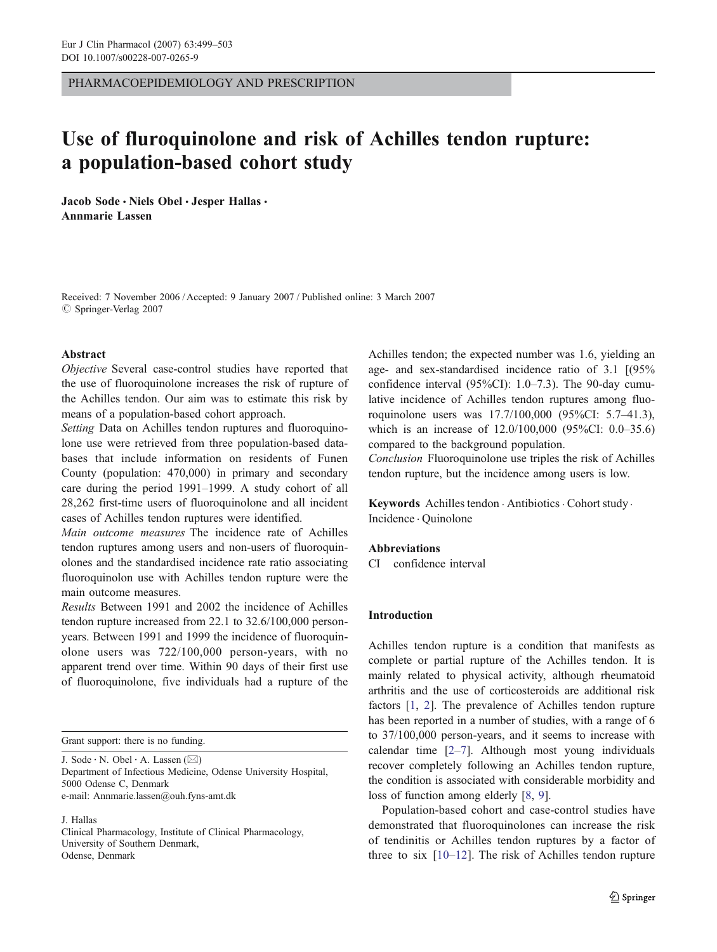PHARMACOEPIDEMIOLOGY AND PRESCRIPTION

# Use of fluroquinolone and risk of Achilles tendon rupture: a population-based cohort study

Jacob Sode · Niels Obel · Jesper Hallas · Annmarie Lassen

Received: 7 November 2006 / Accepted: 9 January 2007 / Published online: 3 March 2007  $\oslash$  Springer-Verlag 2007

#### Abstract

Objective Several case-control studies have reported that the use of fluoroquinolone increases the risk of rupture of the Achilles tendon. Our aim was to estimate this risk by means of a population-based cohort approach.

Setting Data on Achilles tendon ruptures and fluoroquinolone use were retrieved from three population-based databases that include information on residents of Funen County (population: 470,000) in primary and secondary care during the period 1991–1999. A study cohort of all 28,262 first-time users of fluoroquinolone and all incident cases of Achilles tendon ruptures were identified.

Main outcome measures The incidence rate of Achilles tendon ruptures among users and non-users of fluoroquinolones and the standardised incidence rate ratio associating fluoroquinolon use with Achilles tendon rupture were the main outcome measures.

Results Between 1991 and 2002 the incidence of Achilles tendon rupture increased from 22.1 to 32.6/100,000 personyears. Between 1991 and 1999 the incidence of fluoroquinolone users was 722/100,000 person-years, with no apparent trend over time. Within 90 days of their first use of fluoroquinolone, five individuals had a rupture of the

Grant support: there is no funding.

J. Sode  $\cdot$  N. Obel  $\cdot$  A. Lassen ( $\boxtimes$ ) Department of Infectious Medicine, Odense University Hospital, 5000 Odense C, Denmark e-mail: Annmarie.lassen@ouh.fyns-amt.dk

J. Hallas

Clinical Pharmacology, Institute of Clinical Pharmacology, University of Southern Denmark, Odense, Denmark

Achilles tendon; the expected number was 1.6, yielding an age- and sex-standardised incidence ratio of 3.1 [(95% confidence interval (95%CI): 1.0–7.3). The 90-day cumulative incidence of Achilles tendon ruptures among fluoroquinolone users was 17.7/100,000 (95%CI: 5.7–41.3), which is an increase of 12.0/100,000 (95%CI: 0.0–35.6) compared to the background population.

Conclusion Fluoroquinolone use triples the risk of Achilles tendon rupture, but the incidence among users is low.

Keywords Achilles tendon · Antibiotics · Cohort study · Incidence . Quinolone

#### Abbreviations

CI confidence interval

#### Introduction

Achilles tendon rupture is a condition that manifests as complete or partial rupture of the Achilles tendon. It is mainly related to physical activity, although rheumatoid arthritis and the use of corticosteroids are additional risk factors [\[1](#page-5-0), [2](#page-5-0)]. The prevalence of Achilles tendon rupture has been reported in a number of studies, with a range of 6 to 37/100,000 person-years, and it seems to increase with calendar time  $[2-7]$  $[2-7]$  $[2-7]$  $[2-7]$ . Although most young individuals recover completely following an Achilles tendon rupture, the condition is associated with considerable morbidity and loss of function among elderly [[8,](#page-5-0) [9](#page-5-0)].

Population-based cohort and case-control studies have demonstrated that fluoroquinolones can increase the risk of tendinitis or Achilles tendon ruptures by a factor of three to six [[10](#page-5-0)–[12](#page-5-0)]. The risk of Achilles tendon rupture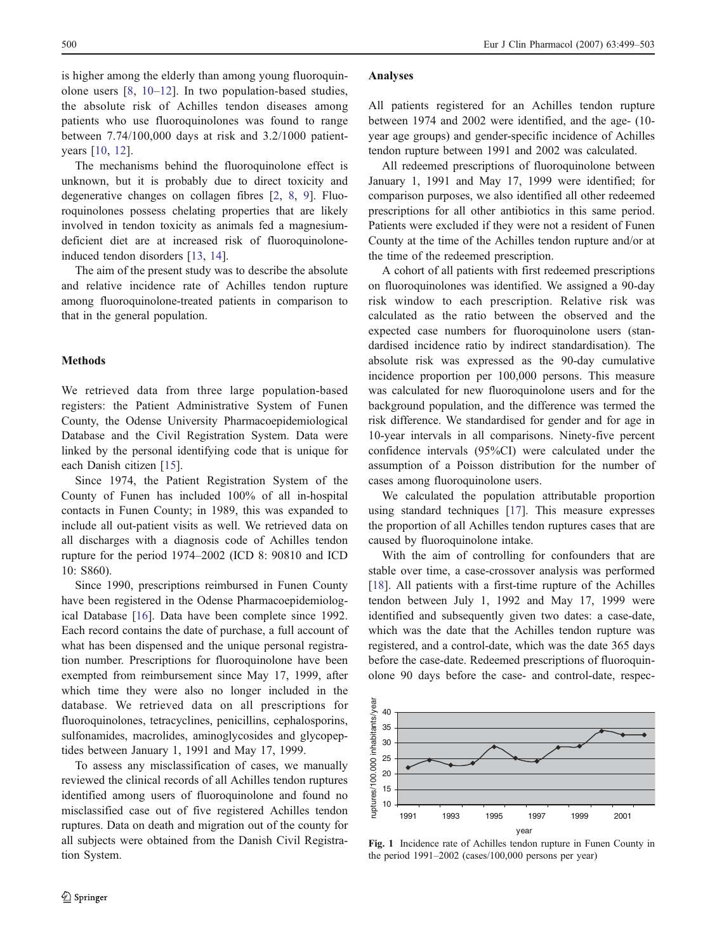<span id="page-2-0"></span>500 Eur J Clin Pharmacol (2007) 63:499–503

is higher among the elderly than among young fluoroquinolone users [[8,](#page-5-0) [10](#page-5-0)–[12\]](#page-5-0). In two population-based studies, the absolute risk of Achilles tendon diseases among patients who use fluoroquinolones was found to range between 7.74/100,000 days at risk and 3.2/1000 patientyears [[10](#page-5-0), [12](#page-5-0)].

The mechanisms behind the fluoroquinolone effect is unknown, but it is probably due to direct toxicity and degenerative changes on collagen fibres [\[2](#page-5-0), [8,](#page-5-0) [9](#page-5-0)]. Fluoroquinolones possess chelating properties that are likely involved in tendon toxicity as animals fed a magnesiumdeficient diet are at increased risk of fluoroquinoloneinduced tendon disorders [[13,](#page-5-0) [14](#page-5-0)].

The aim of the present study was to describe the absolute and relative incidence rate of Achilles tendon rupture among fluoroquinolone-treated patients in comparison to that in the general population.

#### Methods

We retrieved data from three large population-based registers: the Patient Administrative System of Funen County, the Odense University Pharmacoepidemiological Database and the Civil Registration System. Data were linked by the personal identifying code that is unique for each Danish citizen [\[15](#page-5-0)].

Since 1974, the Patient Registration System of the County of Funen has included 100% of all in-hospital contacts in Funen County; in 1989, this was expanded to include all out-patient visits as well. We retrieved data on all discharges with a diagnosis code of Achilles tendon rupture for the period 1974–2002 (ICD 8: 90810 and ICD 10: S860).

Since 1990, prescriptions reimbursed in Funen County have been registered in the Odense Pharmacoepidemiological Database [\[16](#page-5-0)]. Data have been complete since 1992. Each record contains the date of purchase, a full account of what has been dispensed and the unique personal registration number. Prescriptions for fluoroquinolone have been exempted from reimbursement since May 17, 1999, after which time they were also no longer included in the database. We retrieved data on all prescriptions for fluoroquinolones, tetracyclines, penicillins, cephalosporins, sulfonamides, macrolides, aminoglycosides and glycopeptides between January 1, 1991 and May 17, 1999.

To assess any misclassification of cases, we manually reviewed the clinical records of all Achilles tendon ruptures identified among users of fluoroquinolone and found no misclassified case out of five registered Achilles tendon ruptures. Data on death and migration out of the county for all subjects were obtained from the Danish Civil Registration System.

#### Analyses

All patients registered for an Achilles tendon rupture between 1974 and 2002 were identified, and the age- (10 year age groups) and gender-specific incidence of Achilles tendon rupture between 1991 and 2002 was calculated.

All redeemed prescriptions of fluoroquinolone between January 1, 1991 and May 17, 1999 were identified; for comparison purposes, we also identified all other redeemed prescriptions for all other antibiotics in this same period. Patients were excluded if they were not a resident of Funen County at the time of the Achilles tendon rupture and/or at the time of the redeemed prescription.

A cohort of all patients with first redeemed prescriptions on fluoroquinolones was identified. We assigned a 90-day risk window to each prescription. Relative risk was calculated as the ratio between the observed and the expected case numbers for fluoroquinolone users (standardised incidence ratio by indirect standardisation). The absolute risk was expressed as the 90-day cumulative incidence proportion per 100,000 persons. This measure was calculated for new fluoroquinolone users and for the background population, and the difference was termed the risk difference. We standardised for gender and for age in 10-year intervals in all comparisons. Ninety-five percent confidence intervals (95%CI) were calculated under the assumption of a Poisson distribution for the number of cases among fluoroquinolone users.

We calculated the population attributable proportion using standard techniques [\[17](#page-5-0)]. This measure expresses the proportion of all Achilles tendon ruptures cases that are caused by fluoroquinolone intake.

With the aim of controlling for confounders that are stable over time, a case-crossover analysis was performed [\[18](#page-5-0)]. All patients with a first-time rupture of the Achilles tendon between July 1, 1992 and May 17, 1999 were identified and subsequently given two dates: a case-date, which was the date that the Achilles tendon rupture was registered, and a control-date, which was the date 365 days before the case-date. Redeemed prescriptions of fluoroquinolone 90 days before the case- and control-date, respec-



Fig. 1 Incidence rate of Achilles tendon rupture in Funen County in the period 1991–2002 (cases/100,000 persons per year)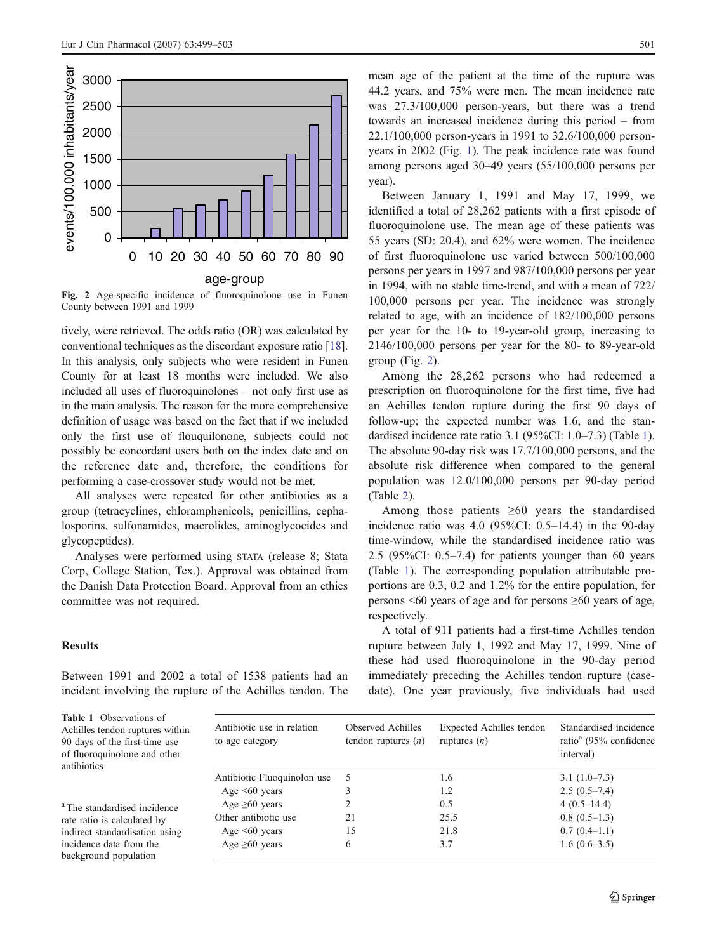<span id="page-3-0"></span>

Fig. 2 Age-specific incidence of fluoroquinolone use in Funen County between 1991 and 1999

tively, were retrieved. The odds ratio (OR) was calculated by conventional techniques as the discordant exposure ratio [[18\]](#page-5-0). In this analysis, only subjects who were resident in Funen County for at least 18 months were included. We also included all uses of fluoroquinolones – not only first use as in the main analysis. The reason for the more comprehensive definition of usage was based on the fact that if we included only the first use of flouquilonone, subjects could not possibly be concordant users both on the index date and on the reference date and, therefore, the conditions for performing a case-crossover study would not be met.

All analyses were repeated for other antibiotics as a group (tetracyclines, chloramphenicols, penicillins, cephalosporins, sulfonamides, macrolides, aminoglycocides and glycopeptides).

Analyses were performed using STATA (release 8; Stata Corp, College Station, Tex.). Approval was obtained from the Danish Data Protection Board. Approval from an ethics committee was not required.

## **Results**

Between 1991 and 2002 a total of 1538 patients had an incident involving the rupture of the Achilles tendon. The mean age of the patient at the time of the rupture was 44.2 years, and 75% were men. The mean incidence rate was 27.3/100,000 person-years, but there was a trend towards an increased incidence during this period – from 22.1/100,000 person-years in 1991 to 32.6/100,000 personyears in 2002 (Fig. [1](#page-2-0)). The peak incidence rate was found among persons aged 30–49 years (55/100,000 persons per year).

Between January 1, 1991 and May 17, 1999, we identified a total of 28,262 patients with a first episode of fluoroquinolone use. The mean age of these patients was 55 years (SD: 20.4), and 62% were women. The incidence of first fluoroquinolone use varied between 500/100,000 persons per years in 1997 and 987/100,000 persons per year in 1994, with no stable time-trend, and with a mean of 722/ 100,000 persons per year. The incidence was strongly related to age, with an incidence of 182/100,000 persons per year for the 10- to 19-year-old group, increasing to 2146/100,000 persons per year for the 80- to 89-year-old group (Fig. 2).

Among the 28,262 persons who had redeemed a prescription on fluoroquinolone for the first time, five had an Achilles tendon rupture during the first 90 days of follow-up; the expected number was 1.6, and the standardised incidence rate ratio 3.1 (95%CI: 1.0–7.3) (Table 1). The absolute 90-day risk was 17.7/100,000 persons, and the absolute risk difference when compared to the general population was 12.0/100,000 persons per 90-day period (Table [2](#page-4-0)).

Among those patients  $\geq 60$  years the standardised incidence ratio was 4.0 (95%CI: 0.5–14.4) in the 90-day time-window, while the standardised incidence ratio was 2.5 (95%CI: 0.5–7.4) for patients younger than 60 years (Table 1). The corresponding population attributable proportions are 0.3, 0.2 and 1.2% for the entire population, for persons <60 years of age and for persons ≥60 years of age, respectively.

A total of 911 patients had a first-time Achilles tendon rupture between July 1, 1992 and May 17, 1999. Nine of these had used fluoroquinolone in the 90-day period immediately preceding the Achilles tendon rupture (casedate). One year previously, five individuals had used

Table 1 Observations of Achilles tendon ruptures within 90 days of the first-time use of fluoroquinolone and other antibiotics

<sup>a</sup> The standardised incidence rate ratio is calculated by indirect standardisation using incidence data from the background population

| Antibiotic use in relation<br>to age category | Observed Achilles<br>tendon ruptures $(n)$ | Expected Achilles tendon<br>ruptures $(n)$ | Standardised incidence<br>ratio <sup>a</sup> (95% confidence<br>interval) |
|-----------------------------------------------|--------------------------------------------|--------------------------------------------|---------------------------------------------------------------------------|
| Antibiotic Fluoquinolon use                   | -5                                         | 1.6                                        | $3.1(1.0-7.3)$                                                            |
| Age $\leq 60$ years                           | 3                                          | 1.2                                        | $2.5(0.5-7.4)$                                                            |
| Age $\geq 60$ years                           | 2                                          | 0.5                                        | $4(0.5-14.4)$                                                             |
| Other antibiotic use                          | 21                                         | 25.5                                       | $0.8(0.5-1.3)$                                                            |
| Age $\leq 60$ years                           | 15                                         | 21.8                                       | $0.7(0.4-1.1)$                                                            |
| Age $\geq 60$ years                           | 6                                          | 3.7                                        | $1.6(0.6-3.5)$                                                            |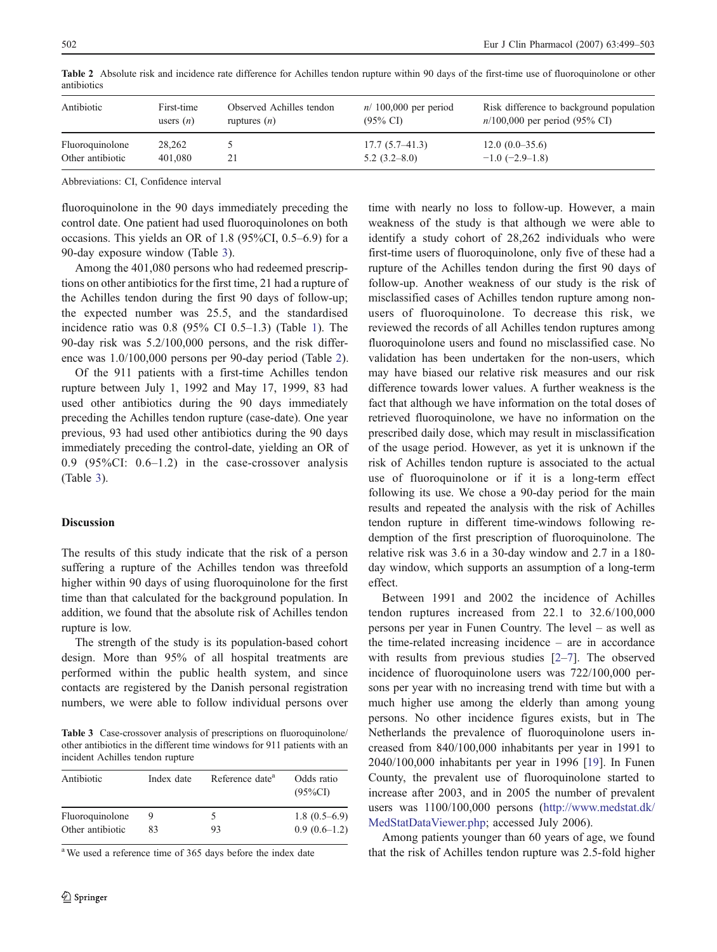| Antibiotic       | First-time  | Observed Achilles tendon | $n/100,000$ per period | Risk difference to background population |
|------------------|-------------|--------------------------|------------------------|------------------------------------------|
|                  | users $(n)$ | ruptures $(n)$           | $(95\% \text{ CI})$    | $n/100,000$ per period (95% CI)          |
| Fluoroquinolone  | 28,262      | 21                       | $17.7(5.7-41.3)$       | $12.0(0.0-35.6)$                         |
| Other antibiotic | 401,080     |                          | $5.2(3.2 - 8.0)$       | $-1.0$ (-2.9–1.8)                        |

<span id="page-4-0"></span>Table 2 Absolute risk and incidence rate difference for Achilles tendon rupture within 90 days of the first-time use of fluoroquinolone or other antibiotics

Abbreviations: CI, Confidence interval

fluoroquinolone in the 90 days immediately preceding the control date. One patient had used fluoroquinolones on both occasions. This yields an OR of 1.8 (95%CI, 0.5–6.9) for a 90-day exposure window (Table 3).

Among the 401,080 persons who had redeemed prescriptions on other antibiotics for the first time, 21 had a rupture of the Achilles tendon during the first 90 days of follow-up; the expected number was 25.5, and the standardised incidence ratio was 0.8 (95% CI 0.5–1.3) (Table [1\)](#page-3-0). The 90-day risk was 5.2/100,000 persons, and the risk difference was 1.0/100,000 persons per 90-day period (Table 2).

Of the 911 patients with a first-time Achilles tendon rupture between July 1, 1992 and May 17, 1999, 83 had used other antibiotics during the 90 days immediately preceding the Achilles tendon rupture (case-date). One year previous, 93 had used other antibiotics during the 90 days immediately preceding the control-date, yielding an OR of 0.9 (95% $CI: 0.6-1.2$ ) in the case-crossover analysis (Table 3).

## Discussion

The results of this study indicate that the risk of a person suffering a rupture of the Achilles tendon was threefold higher within 90 days of using fluoroquinolone for the first time than that calculated for the background population. In addition, we found that the absolute risk of Achilles tendon rupture is low.

The strength of the study is its population-based cohort design. More than 95% of all hospital treatments are performed within the public health system, and since contacts are registered by the Danish personal registration numbers, we were able to follow individual persons over

Table 3 Case-crossover analysis of prescriptions on fluoroquinolone/ other antibiotics in the different time windows for 911 patients with an incident Achilles tendon rupture

| Antibiotic       | Index date | Reference date <sup>a</sup> | Odds ratio<br>$(95\%CI)$ |
|------------------|------------|-----------------------------|--------------------------|
| Fluoroquinolone  | 83         | ╮                           | $1.8(0.5-6.9)$           |
| Other antibiotic |            | 93                          | $0.9(0.6-1.2)$           |

<sup>a</sup> We used a reference time of 365 days before the index date

time with nearly no loss to follow-up. However, a main weakness of the study is that although we were able to identify a study cohort of 28,262 individuals who were first-time users of fluoroquinolone, only five of these had a rupture of the Achilles tendon during the first 90 days of follow-up. Another weakness of our study is the risk of misclassified cases of Achilles tendon rupture among nonusers of fluoroquinolone. To decrease this risk, we reviewed the records of all Achilles tendon ruptures among fluoroquinolone users and found no misclassified case. No validation has been undertaken for the non-users, which may have biased our relative risk measures and our risk difference towards lower values. A further weakness is the fact that although we have information on the total doses of retrieved fluoroquinolone, we have no information on the prescribed daily dose, which may result in misclassification of the usage period. However, as yet it is unknown if the risk of Achilles tendon rupture is associated to the actual use of fluoroquinolone or if it is a long-term effect following its use. We chose a 90-day period for the main results and repeated the analysis with the risk of Achilles tendon rupture in different time-windows following redemption of the first prescription of fluoroquinolone. The relative risk was 3.6 in a 30-day window and 2.7 in a 180 day window, which supports an assumption of a long-term effect.

Between 1991 and 2002 the incidence of Achilles tendon ruptures increased from 22.1 to 32.6/100,000 persons per year in Funen Country. The level – as well as the time-related increasing incidence – are in accordance with results from previous studies [\[2](#page-5-0)–[7](#page-5-0)]. The observed incidence of fluoroquinolone users was 722/100,000 persons per year with no increasing trend with time but with a much higher use among the elderly than among young persons. No other incidence figures exists, but in The Netherlands the prevalence of fluoroquinolone users increased from 840/100,000 inhabitants per year in 1991 to 2040/100,000 inhabitants per year in 1996 [[19\]](#page-5-0). In Funen County, the prevalent use of fluoroquinolone started to increase after 2003, and in 2005 the number of prevalent users was 1100/100,000 persons ([http://www.medstat.dk/](http://www.medstat.dk/MedStatDataViewer.php) [MedStatDataViewer.php;](http://www.medstat.dk/MedStatDataViewer.php) accessed July 2006).

Among patients younger than 60 years of age, we found that the risk of Achilles tendon rupture was 2.5-fold higher